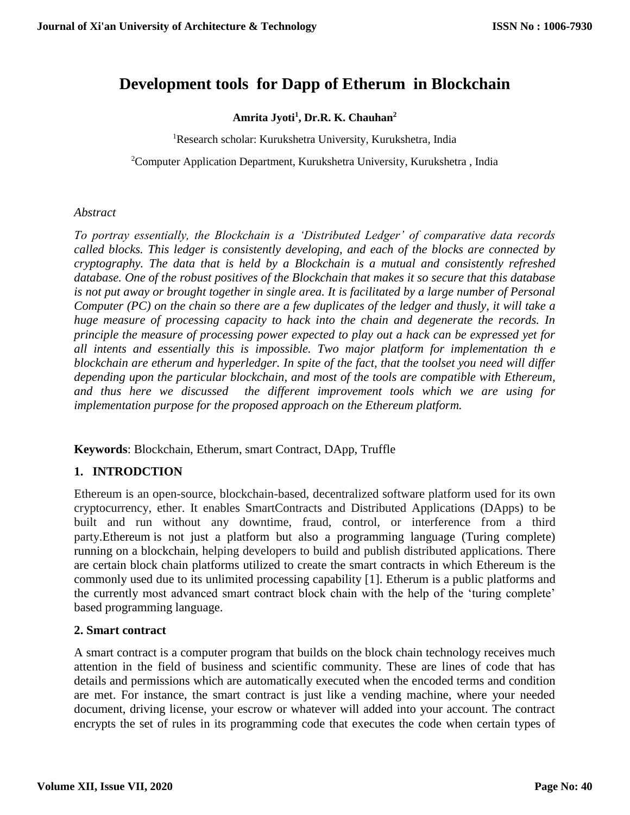# **Development tools for Dapp of Etherum in Blockchain**

## **Amrita Jyoti<sup>1</sup> , Dr.R. K. Chauhan<sup>2</sup>**

<sup>1</sup>Research scholar: Kurukshetra University, Kurukshetra, India

<sup>2</sup>Computer Application Department, Kurukshetra University, Kurukshetra , India

#### *Abstract*

*To portray essentially, the Blockchain is a 'Distributed Ledger' of comparative data records called blocks. This ledger is consistently developing, and each of the blocks are connected by cryptography. The data that is held by a Blockchain is a mutual and consistently refreshed database. One of the robust positives of the Blockchain that makes it so secure that this database is not put away or brought together in single area. It is facilitated by a large number of Personal Computer (PC) on the chain so there are a few duplicates of the ledger and thusly, it will take a huge measure of processing capacity to hack into the chain and degenerate the records. In principle the measure of processing power expected to play out a hack can be expressed yet for all intents and essentially this is impossible. Two major platform for implementation th e blockchain are etherum and hyperledger. In spite of the fact, that the toolset you need will differ depending upon the particular blockchain, and most of the tools are compatible with Ethereum, and thus here we discussed the different improvement tools which we are using for implementation purpose for the proposed approach on the Ethereum platform.*

**Keywords**: Blockchain, Etherum, smart Contract, DApp, Truffle

#### **1. INTRODCTION**

Ethereum is an open-source, blockchain-based, decentralized software platform used for its own cryptocurrency, ether. It enables SmartContracts and Distributed Applications (DApps) to be built and run without any downtime, fraud, control, or interference from a third party[.Ethereum](https://www.investopedia.com/articles/investing/032216/ethereum-more-important-bitcoin.asp) is not just a platform but also a programming language (Turing complete) running on a blockchain, helping developers to build and publish distributed applications. There are certain block chain platforms utilized to create the smart contracts in which Ethereum is the commonly used due to its unlimited processing capability [1]. Etherum is a public platforms and the currently most advanced smart contract block chain with the help of the 'turing complete' based programming language.

#### **2. Smart contract**

A smart contract is a computer program that builds on the block chain technology receives much attention in the field of business and scientific community. These are lines of code that has details and permissions which are automatically executed when the encoded terms and condition are met. For instance, the smart contract is just like a vending machine, where your needed document, driving license, your escrow or whatever will added into your account. The contract encrypts the set of rules in its programming code that executes the code when certain types of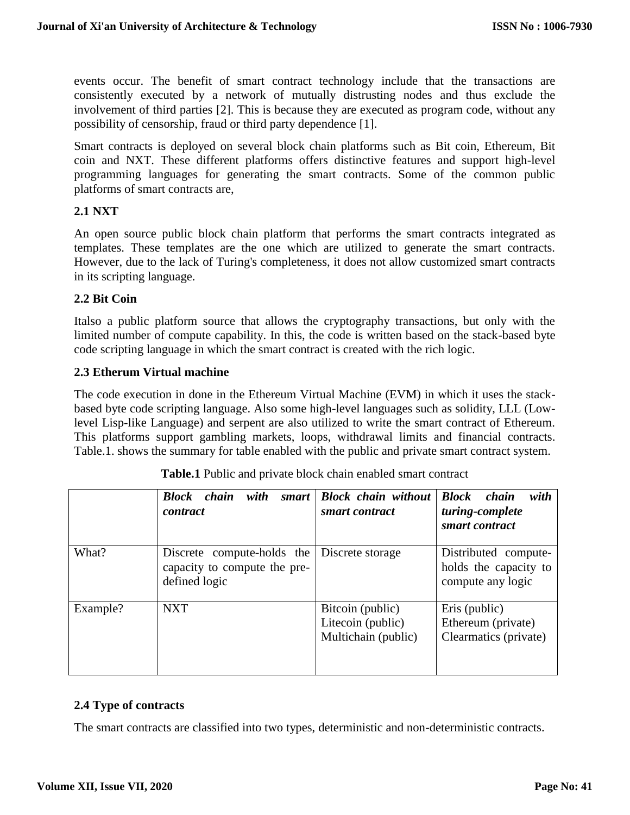events occur. The benefit of smart contract technology include that the transactions are consistently executed by a network of mutually distrusting nodes and thus exclude the involvement of third parties [2]. This is because they are executed as program code, without any possibility of censorship, fraud or third party dependence [1].

Smart contracts is deployed on several block chain platforms such as Bit coin, Ethereum, Bit coin and NXT. These different platforms offers distinctive features and support high-level programming languages for generating the smart contracts. Some of the common public platforms of smart contracts are,

#### **2.1 NXT**

An open source public block chain platform that performs the smart contracts integrated as templates. These templates are the one which are utilized to generate the smart contracts. However, due to the lack of Turing's completeness, it does not allow customized smart contracts in its scripting language.

#### **2.2 Bit Coin**

Italso a public platform source that allows the cryptography transactions, but only with the limited number of compute capability. In this, the code is written based on the stack-based byte code scripting language in which the smart contract is created with the rich logic.

#### **2.3 Etherum Virtual machine**

The code execution in done in the Ethereum Virtual Machine (EVM) in which it uses the stackbased byte code scripting language. Also some high-level languages such as solidity, LLL (Lowlevel Lisp-like Language) and serpent are also utilized to write the smart contract of Ethereum. This platforms support gambling markets, loops, withdrawal limits and financial contracts. Table.1. shows the summary for table enabled with the public and private smart contract system.

|          | with<br><b>Block</b><br>chain<br>smart<br><i>contract</i>                                    | <b>Block chain without</b><br>smart contract                 | <b>Block</b> chain<br>with<br>turing-complete<br>smart contract    |
|----------|----------------------------------------------------------------------------------------------|--------------------------------------------------------------|--------------------------------------------------------------------|
| What?    | Discrete compute-holds the Discrete storage<br>capacity to compute the pre-<br>defined logic |                                                              | Distributed compute-<br>holds the capacity to<br>compute any logic |
| Example? | <b>NXT</b>                                                                                   | Bitcoin (public)<br>Litecoin (public)<br>Multichain (public) | Eris (public)<br>Ethereum (private)<br>Clearmatics (private)       |

**Table.1** Public and private block chain enabled smart contract

#### **2.4 Type of contracts**

The smart contracts are classified into two types, deterministic and non-deterministic contracts.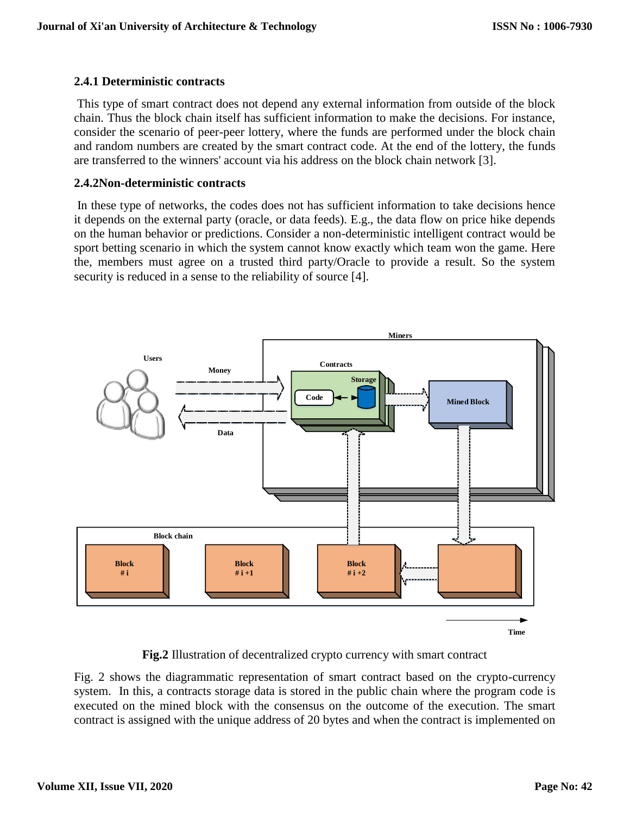# **2.4.1 Deterministic contracts**

This type of smart contract does not depend any external information from outside of the block chain. Thus the block chain itself has sufficient information to make the decisions. For instance, consider the scenario of peer-peer lottery, where the funds are performed under the block chain and random numbers are created by the smart contract code. At the end of the lottery, the funds are transferred to the winners' account via his address on the block chain network [3].

#### **2.4.2Non-deterministic contracts**

In these type of networks, the codes does not has sufficient information to take decisions hence it depends on the external party (oracle, or data feeds). E.g., the data flow on price hike depends on the human behavior or predictions. Consider a non-deterministic intelligent contract would be sport betting scenario in which the system cannot know exactly which team won the game. Here the, members must agree on a trusted third party/Oracle to provide a result. So the system security is reduced in a sense to the reliability of source [4].



**Fig.2** Illustration of decentralized crypto currency with smart contract

Fig. 2 shows the diagrammatic representation of smart contract based on the crypto-currency system. In this, a contracts storage data is stored in the public chain where the program code is executed on the mined block with the consensus on the outcome of the execution. The smart contract is assigned with the unique address of 20 bytes and when the contract is implemented on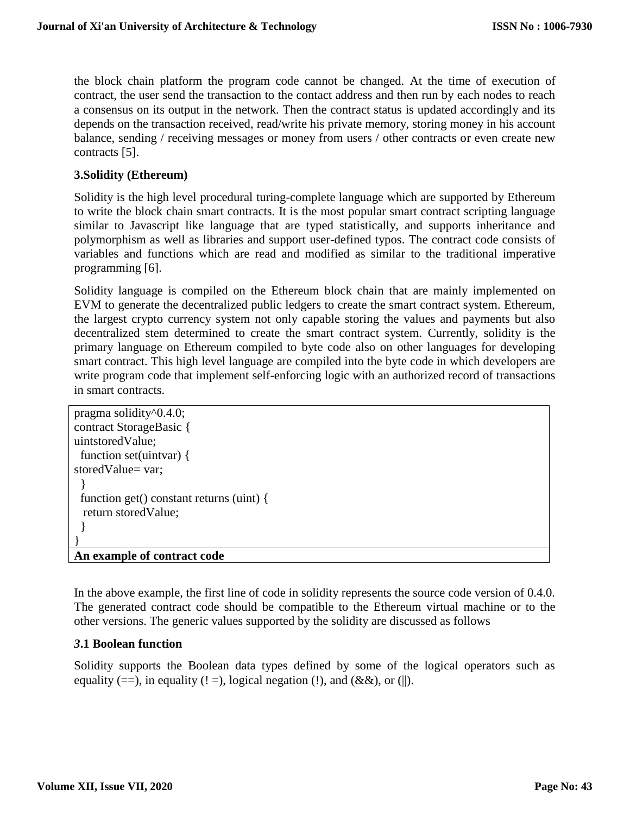the block chain platform the program code cannot be changed. At the time of execution of contract, the user send the transaction to the contact address and then run by each nodes to reach a consensus on its output in the network. Then the contract status is updated accordingly and its depends on the transaction received, read/write his private memory, storing money in his account balance, sending / receiving messages or money from users / other contracts or even create new contracts [5].

# **3.Solidity (Ethereum)**

Solidity is the high level procedural turing-complete language which are supported by Ethereum to write the block chain smart contracts. It is the most popular smart contract scripting language similar to Javascript like language that are typed statistically, and supports inheritance and polymorphism as well as libraries and support user-defined typos. The contract code consists of variables and functions which are read and modified as similar to the traditional imperative programming [6].

Solidity language is compiled on the Ethereum block chain that are mainly implemented on EVM to generate the decentralized public ledgers to create the smart contract system. Ethereum, the largest crypto currency system not only capable storing the values and payments but also decentralized stem determined to create the smart contract system. Currently, solidity is the primary language on Ethereum compiled to byte code also on other languages for developing smart contract. This high level language are compiled into the byte code in which developers are write program code that implement self-enforcing logic with an authorized record of transactions in smart contracts.

```
pragma solidity^0.4.0;
contract StorageBasic {
uintstoredValue;
 function set(uintvar) {
storedValue= var;
  }
  function get() constant returns (uint) {
  return storedValue;
  }
}
An example of contract code
```
In the above example, the first line of code in solidity represents the source code version of 0.4.0. The generated contract code should be compatible to the Ethereum virtual machine or to the other versions. The generic values supported by the solidity are discussed as follows

#### *3***.1 Boolean function**

Solidity supports the Boolean data types defined by some of the logical operators such as equality (==), in equality (! =), logical negation (!), and (&&), or (||).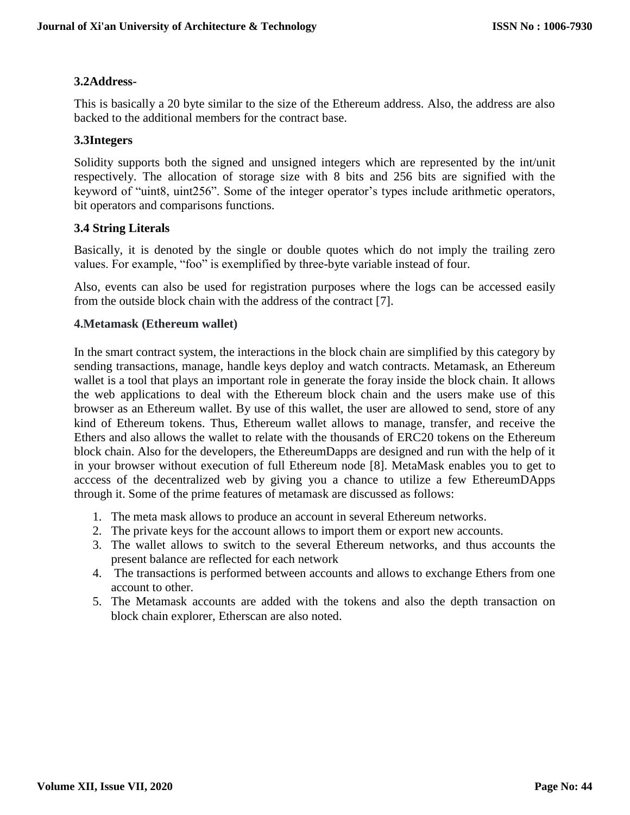# **3.2Address-**

This is basically a 20 byte similar to the size of the Ethereum address. Also, the address are also backed to the additional members for the contract base.

# **3.3Integers**

Solidity supports both the signed and unsigned integers which are represented by the int/unit respectively. The allocation of storage size with 8 bits and 256 bits are signified with the keyword of "uint8, uint256". Some of the integer operator's types include arithmetic operators, bit operators and comparisons functions.

# **3.4 String Literals**

Basically, it is denoted by the single or double quotes which do not imply the trailing zero values. For example, "foo" is exemplified by three-byte variable instead of four.

Also, events can also be used for registration purposes where the logs can be accessed easily from the outside block chain with the address of the contract [7].

#### **4.Metamask (Ethereum wallet)**

In the smart contract system, the interactions in the block chain are simplified by this category by sending transactions, manage, handle keys deploy and watch contracts. Metamask, an Ethereum wallet is a tool that plays an important role in generate the foray inside the block chain. It allows the web applications to deal with the Ethereum block chain and the users make use of this browser as an Ethereum wallet. By use of this wallet, the user are allowed to send, store of any kind of Ethereum tokens. Thus, Ethereum wallet allows to manage, transfer, and receive the Ethers and also allows the wallet to relate with the thousands of ERC20 tokens on the Ethereum block chain. Also for the developers, the EthereumDapps are designed and run with the help of it in your browser without execution of full Ethereum node [8]. MetaMask enables you to get to acccess of the decentralized web by giving you a chance to utilize a few EthereumDApps through it. Some of the prime features of metamask are discussed as follows:

- 1. The meta mask allows to produce an account in several Ethereum networks.
- 2. The private keys for the account allows to import them or export new accounts.
- 3. The wallet allows to switch to the several Ethereum networks, and thus accounts the present balance are reflected for each network
- 4. The transactions is performed between accounts and allows to exchange Ethers from one account to other.
- 5. The Metamask accounts are added with the tokens and also the depth transaction on block chain explorer, Etherscan are also noted.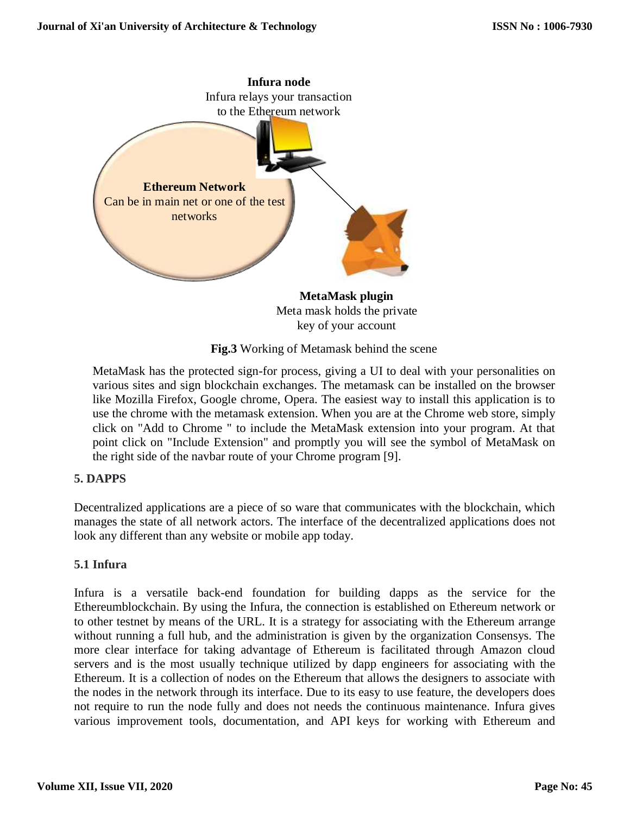

**Fig.3** Working of Metamask behind the scene

MetaMask has the protected sign-for process, giving a UI to deal with your personalities on various sites and sign blockchain exchanges. The metamask can be installed on the browser like Mozilla Firefox, Google chrome, Opera. The easiest way to install this application is to use the chrome with the metamask extension. When you are at the Chrome web store, simply click on "Add to Chrome " to include the MetaMask extension into your program. At that point click on "Include Extension" and promptly you will see the symbol of MetaMask on the right side of the navbar route of your Chrome program [9].

# **5. DAPPS**

Decentralized applications are a piece of so ware that communicates with the blockchain, which manages the state of all network actors. The interface of the decentralized applications does not look any different than any website or mobile app today.

#### **5.1 Infura**

Infura is a versatile back-end foundation for building dapps as the service for the Ethereumblockchain. By using the Infura, the connection is established on Ethereum network or to other testnet by means of the URL. It is a strategy for associating with the Ethereum arrange without running a full hub, and the administration is given by the organization Consensys. The more clear interface for taking advantage of Ethereum is facilitated through Amazon cloud servers and is the most usually technique utilized by dapp engineers for associating with the Ethereum. It is a collection of nodes on the Ethereum that allows the designers to associate with the nodes in the network through its interface. Due to its easy to use feature, the developers does not require to run the node fully and does not needs the continuous maintenance. Infura gives various improvement tools, documentation, and API keys for working with Ethereum and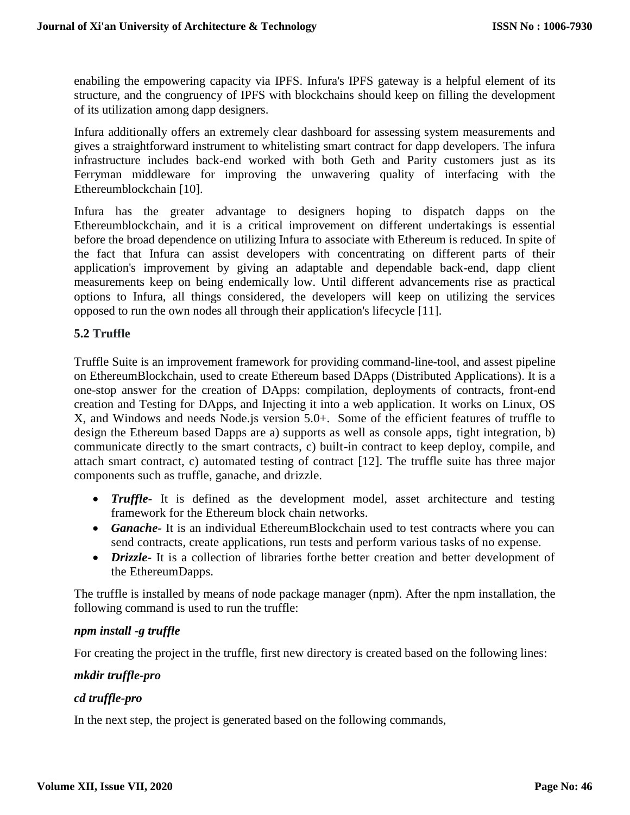enabiling the empowering capacity via IPFS. Infura's IPFS gateway is a helpful element of its structure, and the congruency of IPFS with blockchains should keep on filling the development of its utilization among dapp designers.

Infura additionally offers an extremely clear dashboard for assessing system measurements and gives a straightforward instrument to whitelisting smart contract for dapp developers. The infura infrastructure includes back-end worked with both Geth and Parity customers just as its Ferryman middleware for improving the unwavering quality of interfacing with the Ethereumblockchain [10].

Infura has the greater advantage to designers hoping to dispatch dapps on the Ethereumblockchain, and it is a critical improvement on different undertakings is essential before the broad dependence on utilizing Infura to associate with Ethereum is reduced. In spite of the fact that Infura can assist developers with concentrating on different parts of their application's improvement by giving an adaptable and dependable back-end, dapp client measurements keep on being endemically low. Until different advancements rise as practical options to Infura, all things considered, the developers will keep on utilizing the services opposed to run the own nodes all through their application's lifecycle [11].

#### **5.2 Truffle**

Truffle Suite is an improvement framework for providing command-line-tool, and assest pipeline on EthereumBlockchain, used to create Ethereum based DApps (Distributed Applications). It is a one-stop answer for the creation of DApps: compilation, deployments of contracts, front-end creation and Testing for DApps, and Injecting it into a web application. It works on Linux, OS X, and Windows and needs Node.js version 5.0+. Some of the efficient features of truffle to design the Ethereum based Dapps are a) supports as well as console apps, tight integration, b) communicate directly to the smart contracts, c) built-in contract to keep deploy, compile, and attach smart contract, c) automated testing of contract [12]. The truffle suite has three major components such as truffle, ganache, and drizzle.

- *Truffle-* It is defined as the development model, asset architecture and testing framework for the Ethereum block chain networks.
- *Ganache-* It is an individual EthereumBlockchain used to test contracts where you can send contracts, create applications, run tests and perform various tasks of no expense.
- *Drizzle-* It is a collection of libraries forthe better creation and better development of the EthereumDapps.

The truffle is installed by means of node package manager (npm). After the npm installation, the following command is used to run the truffle:

#### *npm install -g truffle*

For creating the project in the truffle, first new directory is created based on the following lines:

#### *mkdir truffle-pro*

#### *cd truffle-pro*

In the next step, the project is generated based on the following commands,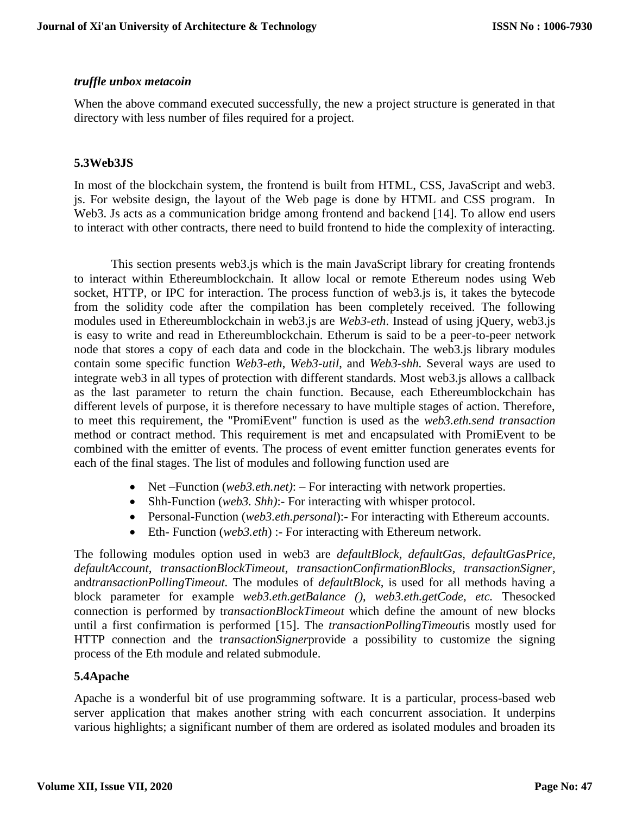## *truffle unbox metacoin*

When the above command executed successfully, the new a project structure is generated in that directory with less number of files required for a project.

# **5.3Web3JS**

In most of the blockchain system, the frontend is built from HTML, CSS, JavaScript and web3. js. For website design, the layout of the Web page is done by HTML and CSS program. In Web3. Js acts as a communication bridge among frontend and backend [14]. To allow end users to interact with other contracts, there need to build frontend to hide the complexity of interacting.

This section presents web3.js which is the main JavaScript library for creating frontends to interact within Ethereumblockchain. It allow local or remote Ethereum nodes using Web socket, HTTP, or IPC for interaction. The process function of web3.js is, it takes the bytecode from the solidity code after the compilation has been completely received. The following modules used in Ethereumblockchain in web3.js are *Web3-eth*. Instead of using jQuery, web3.js is easy to write and read in Ethereumblockchain. Etherum is said to be a peer-to-peer network node that stores a copy of each data and code in the blockchain. The web3.js library modules contain some specific function *Web3-eth*, *Web3-util*, and *Web3-shh.* Several ways are used to integrate web3 in all types of protection with different standards. Most web3.js allows a callback as the last parameter to return the chain function. Because, each Ethereumblockchain has different levels of purpose, it is therefore necessary to have multiple stages of action. Therefore, to meet this requirement, the "PromiEvent" function is used as the *web3.eth.send transaction* method or contract method. This requirement is met and encapsulated with PromiEvent to be combined with the emitter of events. The process of event emitter function generates events for each of the final stages. The list of modules and following function used are

- Net –Function (*web3.eth.net*): For interacting with network properties.
- Shh-Function (*web3. Shh*):- For interacting with whisper protocol.
- Personal-Function (*web3.eth.personal*):- For interacting with Ethereum accounts.
- Eth- Function (*web3.eth*) :- For interacting with Ethereum network.

The following modules option used in web3 are *defaultBlock, defaultGas, defaultGasPrice, defaultAccount, transactionBlockTimeout, transactionConfirmationBlocks, transactionSigner,*  and*transactionPollingTimeout.* The modules of *defaultBlock,* is used for all methods having a block parameter for example *web3.eth.getBalance ()*, *web3.eth.getCode, etc.* Thesocked connection is performed by tr*ansactionBlockTimeout* which define the amount of new blocks until a first confirmation is performed [15]. The *transactionPollingTimeout*is mostly used for HTTP connection and the t*ransactionSigner*provide a possibility to customize the signing process of the Eth module and related submodule.

# **5.4Apache**

Apache is a wonderful bit of use programming software. It is a particular, process-based web server application that makes another string with each concurrent association. It underpins various highlights; a significant number of them are ordered as isolated modules and broaden its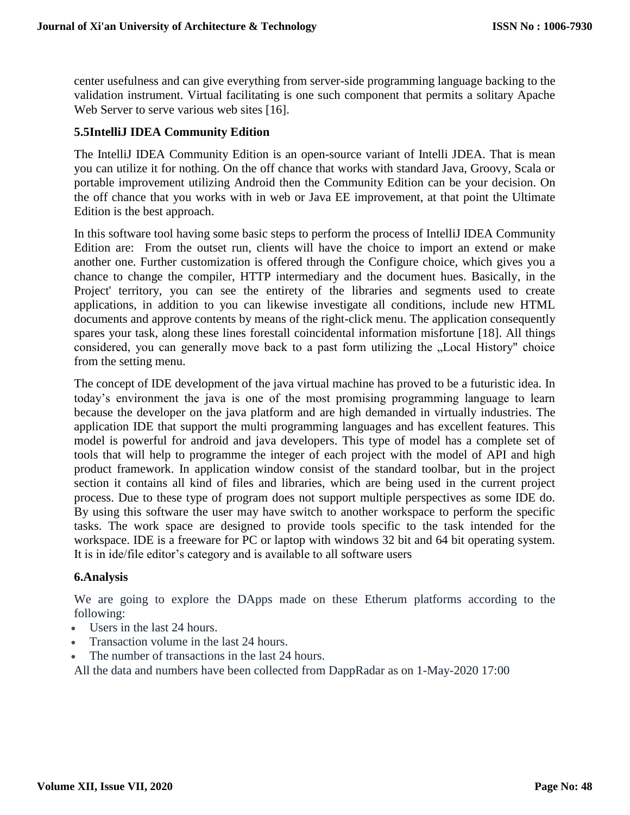center usefulness and can give everything from server-side programming language backing to the validation instrument. Virtual facilitating is one such component that permits a solitary Apache Web Server to serve various web sites [16].

## **5.5IntelliJ IDEA Community Edition**

The IntelliJ IDEA Community Edition is an open-source variant of Intelli JDEA. That is mean you can utilize it for nothing. On the off chance that works with standard Java, Groovy, Scala or portable improvement utilizing Android then the Community Edition can be your decision. On the off chance that you works with in web or Java EE improvement, at that point the Ultimate Edition is the best approach.

In this software tool having some basic steps to perform the process of IntelliJ IDEA Community Edition are: From the outset run, clients will have the choice to import an extend or make another one. Further customization is offered through the Configure choice, which gives you a chance to change the compiler, HTTP intermediary and the document hues. Basically, in the Project' territory, you can see the entirety of the libraries and segments used to create applications, in addition to you can likewise investigate all conditions, include new HTML documents and approve contents by means of the right-click menu. The application consequently spares your task, along these lines forestall coincidental information misfortune [18]. All things considered, you can generally move back to a past form utilizing the "Local History" choice from the setting menu.

The concept of IDE development of the java virtual machine has proved to be a futuristic idea. In today's environment the java is one of the most promising programming language to learn because the developer on the java platform and are high demanded in virtually industries. The application IDE that support the multi programming languages and has excellent features. This model is powerful for android and java developers. This type of model has a complete set of tools that will help to programme the integer of each project with the model of API and high product framework. In application window consist of the standard toolbar, but in the project section it contains all kind of files and libraries, which are being used in the current project process. Due to these type of program does not support multiple perspectives as some IDE do. By using this software the user may have switch to another workspace to perform the specific tasks. The work space are designed to provide tools specific to the task intended for the workspace. IDE is a freeware for PC or laptop with windows 32 bit and 64 bit operating system. It is in ide/file editor's category and is available to all software users

#### **6.Analysis**

We are going to explore the DApps made on these Etherum platforms according to the following:

- Users in the last 24 hours.
- Transaction volume in the last 24 hours.
- The number of transactions in the last 24 hours.

All the data and numbers have been collected from DappRadar as on 1-May-2020 17:00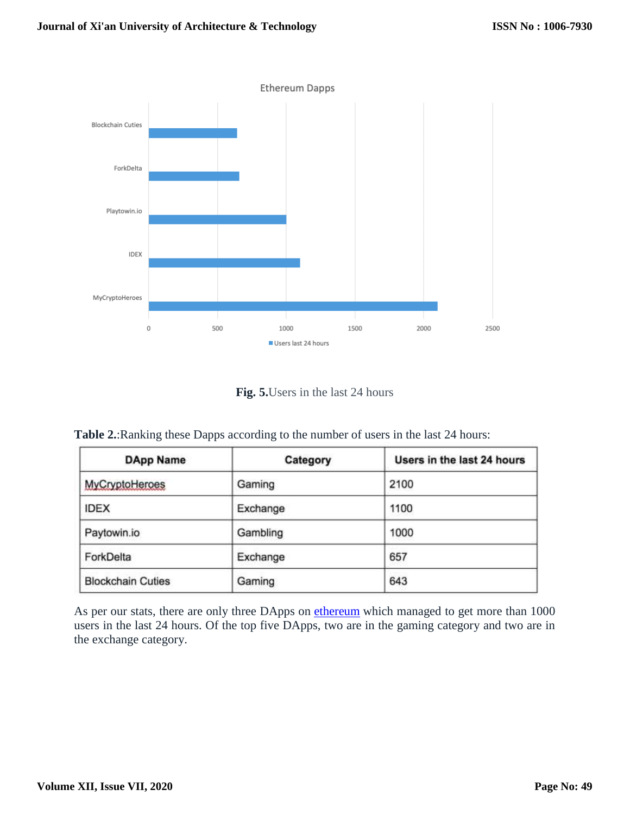

**Fig. 5.**Users in the last 24 hours

**Table 2.**:Ranking these Dapps according to the number of users in the last 24 hours:

| <b>DApp Name</b>         | Category | Users in the last 24 hours |
|--------------------------|----------|----------------------------|
| MyCryptoHeroes           | Gaming   | 2100                       |
| <b>IDEX</b>              | Exchange | 1100                       |
| Paytowin.io              | Gambling | 1000                       |
| ForkDelta                | Exchange | 657                        |
| <b>Blockchain Cuties</b> | Gaming   | 643                        |

As per our stats, there are only three DApps on **[ethereum](https://blockgeeks.com/guides/ethereum/)** which managed to get more than 1000 users in the last 24 hours. Of the top five DApps, two are in the gaming category and two are in the exchange category.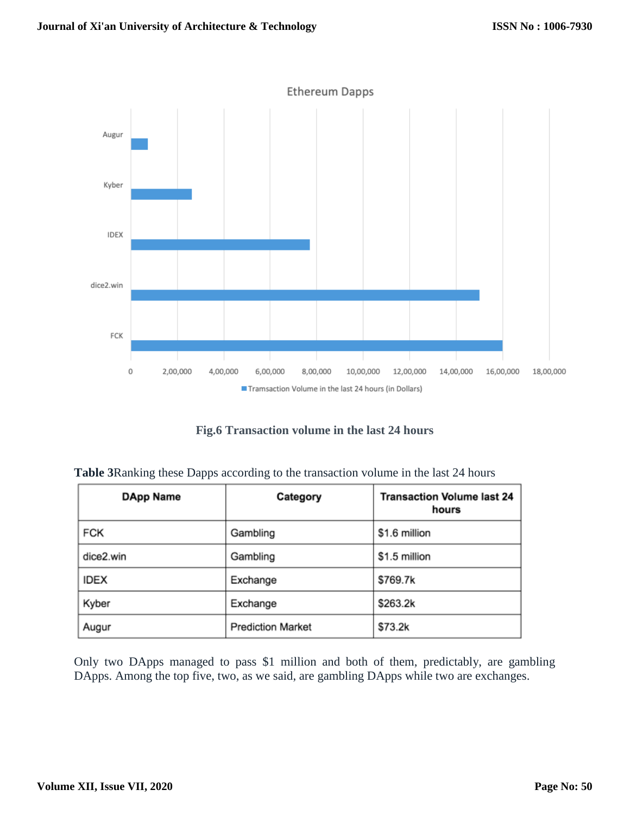

**Fig.6 Transaction volume in the last 24 hours**

| DApp Name   | Category                 | <b>Transaction Volume last 24</b><br>hours |
|-------------|--------------------------|--------------------------------------------|
| <b>FCK</b>  | Gambling                 | \$1.6 million                              |
| dice2.win   | Gambling                 | \$1.5 million                              |
| <b>IDEX</b> | Exchange                 | \$769.7k                                   |
| Kyber       | Exchange                 | \$263.2k                                   |
| Augur       | <b>Prediction Market</b> | \$73.2k                                    |

Only two DApps managed to pass \$1 million and both of them, predictably, are gambling DApps. Among the top five, two, as we said, are gambling DApps while two are exchanges.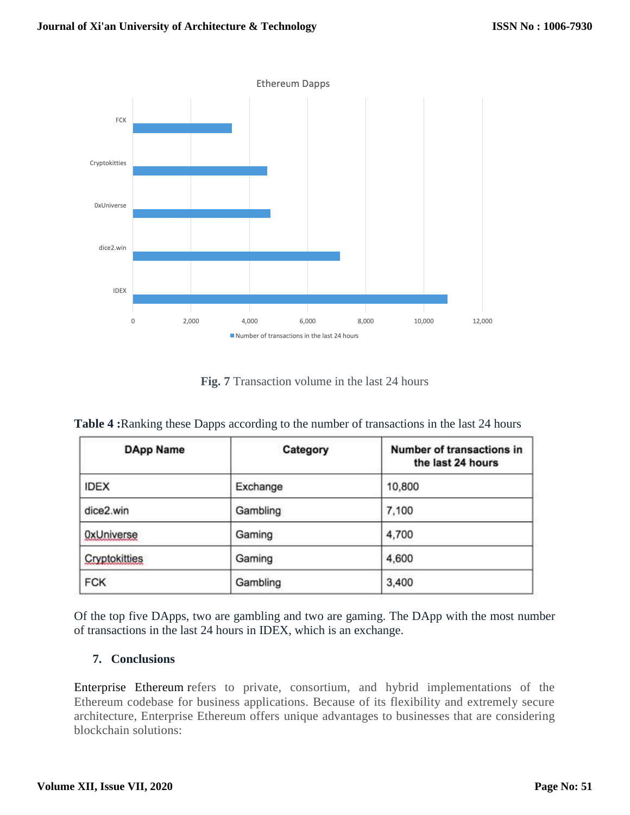

**Fig. 7** Transaction volume in the last 24 hours

|  |  |  | <b>Table 4:</b> Ranking these Dapps according to the number of transactions in the last 24 hours |
|--|--|--|--------------------------------------------------------------------------------------------------|
|--|--|--|--------------------------------------------------------------------------------------------------|

| <b>DApp Name</b>  | Category | Number of transactions in<br>the last 24 hours |
|-------------------|----------|------------------------------------------------|
| <b>IDEX</b>       | Exchange | 10,800                                         |
| dice2.win         | Gambling | 7,100                                          |
| <b>OxUniverse</b> | Gaming   | 4,700                                          |
| Cryptokitties     | Gaming   | 4,600                                          |
| <b>FCK</b>        | Gambling | 3,400                                          |

Of the top five DApps, two are gambling and two are gaming. The DApp with the most number of transactions in the last 24 hours in IDEX, which is an exchange.

# **7. Conclusions**

[Enterprise](https://consensys.net/enterprise-ethereum/) Ethereum refers to private, consortium, and hybrid implementations of the Ethereum codebase for business applications. Because of its flexibility and extremely secure architecture, Enterprise Ethereum offers unique advantages to businesses that are considering blockchain solutions: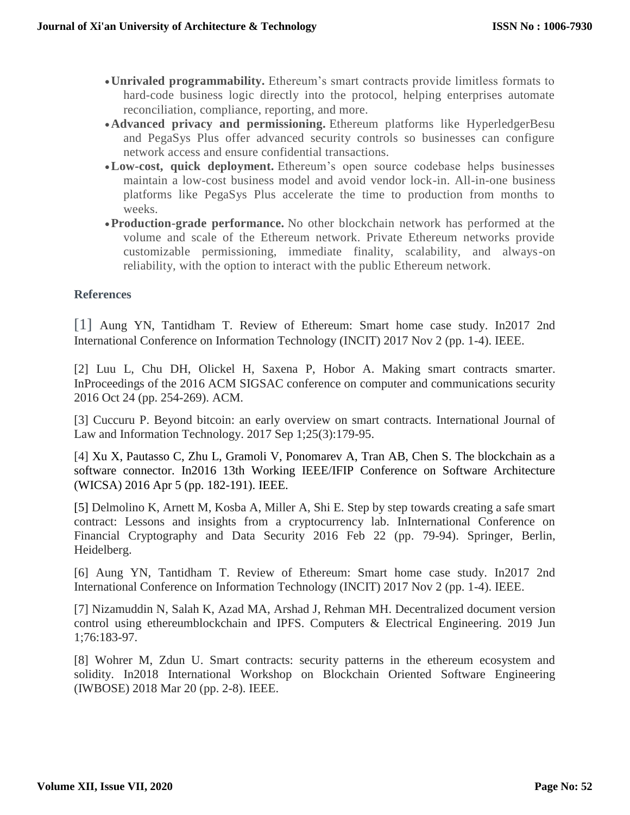- **Unrivaled programmability.** Ethereum's smart contracts provide limitless formats to hard-code business logic directly into the protocol, helping enterprises automate reconciliation, compliance, reporting, and more.
- **Advanced privacy and permissioning.** Ethereum platforms like HyperledgerBesu and PegaSys Plus offer advanced security controls so businesses can configure network access and ensure confidential transactions.
- **Low-cost, quick deployment.** Ethereum's open source codebase helps businesses maintain a low-cost business model and avoid vendor lock-in. All-in-one business platforms like PegaSys Plus accelerate the time to production from months to weeks.
- **Production-grade performance.** No other blockchain network has performed at the volume and scale of the Ethereum network. Private Ethereum networks provide customizable permissioning, immediate finality, scalability, and always-on reliability, with the option to interact with the public Ethereum network.

#### **References**

[1] Aung YN, Tantidham T. Review of Ethereum: Smart home case study. In2017 2nd International Conference on Information Technology (INCIT) 2017 Nov 2 (pp. 1-4). IEEE.

[2] Luu L, Chu DH, Olickel H, Saxena P, Hobor A. Making smart contracts smarter. InProceedings of the 2016 ACM SIGSAC conference on computer and communications security 2016 Oct 24 (pp. 254-269). ACM.

[3] Cuccuru P. Beyond bitcoin: an early overview on smart contracts. International Journal of Law and Information Technology. 2017 Sep 1;25(3):179-95.

[4] Xu X, Pautasso C, Zhu L, Gramoli V, Ponomarev A, Tran AB, Chen S. The blockchain as a software connector. In2016 13th Working IEEE/IFIP Conference on Software Architecture (WICSA) 2016 Apr 5 (pp. 182-191). IEEE.

[5] Delmolino K, Arnett M, Kosba A, Miller A, Shi E. Step by step towards creating a safe smart contract: Lessons and insights from a cryptocurrency lab. InInternational Conference on Financial Cryptography and Data Security 2016 Feb 22 (pp. 79-94). Springer, Berlin, Heidelberg.

[6] Aung YN, Tantidham T. Review of Ethereum: Smart home case study. In2017 2nd International Conference on Information Technology (INCIT) 2017 Nov 2 (pp. 1-4). IEEE.

[7] Nizamuddin N, Salah K, Azad MA, Arshad J, Rehman MH. Decentralized document version control using ethereumblockchain and IPFS. Computers & Electrical Engineering. 2019 Jun 1;76:183-97.

[8] Wohrer M, Zdun U. Smart contracts: security patterns in the ethereum ecosystem and solidity. In2018 International Workshop on Blockchain Oriented Software Engineering (IWBOSE) 2018 Mar 20 (pp. 2-8). IEEE.